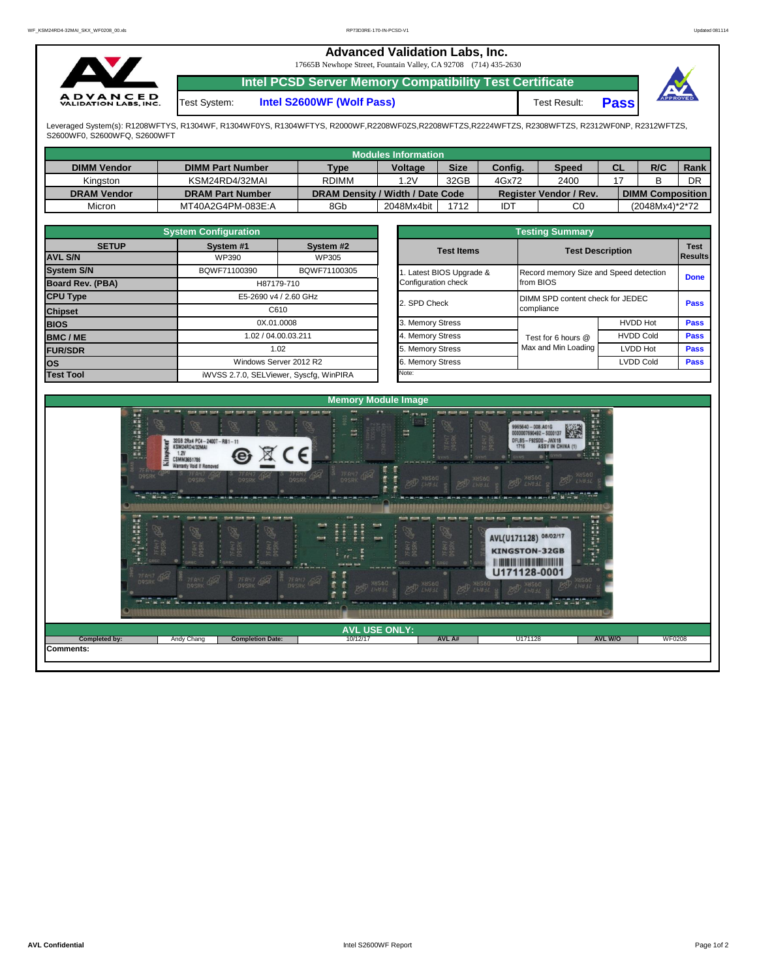## **Advanced Validation Labs, Inc.**

17665B Newhope Street, Fountain Valley, CA 92708 (714) 435-2630



**Intel PCSD Server Memory Compatibility Test Certificate**

Test System: **Intel S2600WF (Wolf Pass)** Test Result:



**Pass**

Leveraged System(s): R1208WFTYS, R1304WF, R1304WF0YS, R1304WFTYS, R2000WF,R2208WF0ZS,R2208WFTZS,R2224WFTZS, R2308WFTZS, R2312WF0NP, R2312WFTZS, S2600WF0, S2600WFQ, S2600WFT

|                    |                         |                                  | Modules Information |             |         |                               |           |                         |      |
|--------------------|-------------------------|----------------------------------|---------------------|-------------|---------|-------------------------------|-----------|-------------------------|------|
| <b>DIMM Vendor</b> | <b>DIMM Part Number</b> | <b>Type</b>                      | Voltage             | <b>Size</b> | Config. | <b>Speed</b>                  | <b>CL</b> | R/C                     | Rank |
| Kingston           | KSM24RD4/32MAI          | <b>RDIMM</b>                     | 1.2V                | 32GB        | 4Gx72   | 2400                          |           |                         | DR   |
| <b>DRAM Vendor</b> | <b>DRAM Part Number</b> | DRAM Density / Width / Date Code |                     |             |         | <b>Register Vendor / Rev.</b> |           | <b>DIMM Composition</b> |      |
| Micron             | MT40A2G4PM-083E:A       | 8Gb                              | 2048Mx4bit          | 1712        | IDT     | C0                            |           | (2048Mx4)*2*72          |      |

|                   | <b>System Configuration</b> |                                         | <b>Testing Summary</b> |                                        |                         |                               |  |  |  |  |  |
|-------------------|-----------------------------|-----------------------------------------|------------------------|----------------------------------------|-------------------------|-------------------------------|--|--|--|--|--|
| <b>SETUP</b>      | System #1                   | System #2                               | <b>Test Items</b>      |                                        | <b>Test Description</b> | <b>Test</b><br><b>Results</b> |  |  |  |  |  |
| <b>AVL S/N</b>    | WP390                       | WP305                                   |                        |                                        |                         |                               |  |  |  |  |  |
| <b>System S/N</b> | BQWF71100390                | BQWF71100305                            | Latest BIOS Upgrade &  | Record memory Size and Speed detection |                         | <b>Done</b>                   |  |  |  |  |  |
| Board Rev. (PBA)  |                             | H87179-710                              | Configuration check    | from BIOS                              |                         |                               |  |  |  |  |  |
| <b>CPU Type</b>   |                             | E5-2690 v4 / 2.60 GHz                   | 2. SPD Check           | DIMM SPD content check for JEDEC       |                         | <b>Pass</b>                   |  |  |  |  |  |
| <b>Chipset</b>    |                             | C610                                    |                        | compliance                             |                         |                               |  |  |  |  |  |
| <b>BIOS</b>       |                             | 0X.01.0008                              | 3. Memory Stress       |                                        | <b>HVDD Hot</b>         | <b>Pass</b>                   |  |  |  |  |  |
| <b>BMC/ME</b>     |                             | 1.02 / 04.00.03.211                     | 4. Memory Stress       | Test for 6 hours @                     | <b>HVDD Cold</b>        | <b>Pass</b>                   |  |  |  |  |  |
| <b>FUR/SDR</b>    |                             | 1.02                                    | 5. Memory Stress       | Max and Min Loading                    | <b>LVDD Hot</b>         | <b>Pass</b>                   |  |  |  |  |  |
| los               |                             | Windows Server 2012 R2                  | . Memory Stress        |                                        | LVDD Cold               | <b>Pass</b>                   |  |  |  |  |  |
| <b>Test Tool</b>  |                             | iWVSS 2.7.0, SELViewer, Syscfq, WinPIRA | Note:                  |                                        |                         |                               |  |  |  |  |  |

|                                                 | <b>Testing Summary</b>                              |                  |                               |
|-------------------------------------------------|-----------------------------------------------------|------------------|-------------------------------|
| <b>Test Items</b>                               | <b>Test Description</b>                             |                  | <b>Test</b><br><b>Results</b> |
| 1. Latest BIOS Upgrade &<br>Configuration check | Record memory Size and Speed detection<br>from BIOS |                  | <b>Done</b>                   |
| 2. SPD Check                                    | DIMM SPD content check for JEDEC<br>compliance      |                  | <b>Pass</b>                   |
| 3. Memory Stress                                |                                                     | <b>HVDD Hot</b>  | Pass                          |
| 4. Memory Stress                                | Test for 6 hours @                                  | <b>HVDD Cold</b> | <b>Pass</b>                   |
| 5. Memory Stress                                | Max and Min Loading                                 | <b>LVDD Hot</b>  | <b>Pass</b>                   |
| 6. Memory Stress                                |                                                     | <b>LVDD Cold</b> | <b>Pass</b>                   |
| Note:                                           |                                                     |                  |                               |